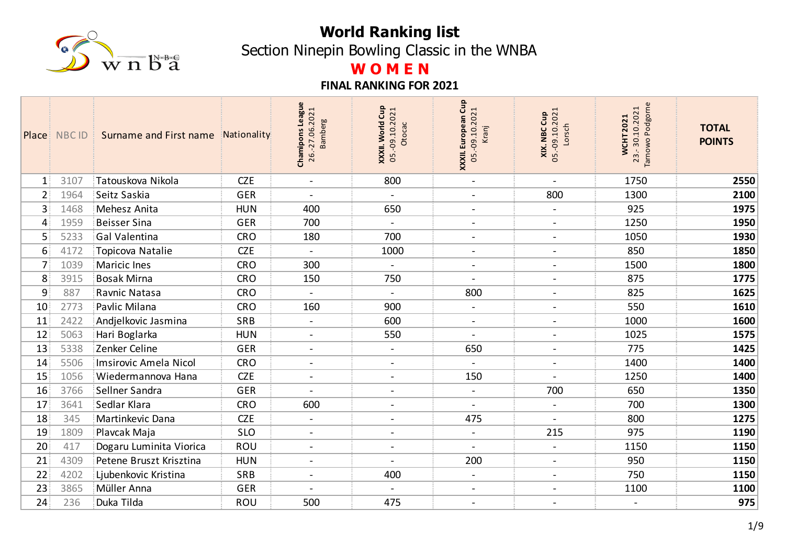

Section Ninepin Bowling Classic in the WNBA

# **W O M E N**

|                 | Place NBC ID | Surname and First name<br>-91 | Nationality | Chamipons League<br>.2021<br><b>Bamberg</b><br>26.-27.06 | Gup<br>05.-09.10.2021<br>World<br>Otocac<br>XXXII. | XXXII. European Cup<br>$-09.10.2021$<br>Kranj<br>$\overline{05}$ | 05.-09.10.2021<br>Cup<br>Lorsch<br>XIX. NBC | Podgorne<br>23.-30.10.2021<br><b>WCHT2021</b><br>Tarnowo | <b>TOTAL</b><br><b>POINTS</b> |
|-----------------|--------------|-------------------------------|-------------|----------------------------------------------------------|----------------------------------------------------|------------------------------------------------------------------|---------------------------------------------|----------------------------------------------------------|-------------------------------|
| $\mathbf{1}$    | 3107         | Tatouskova Nikola             | <b>CZE</b>  | $\blacksquare$                                           | 800                                                | $\blacksquare$                                                   | $\blacksquare$                              | 1750                                                     | 2550                          |
| 2 <sup>1</sup>  | 1964         | Seitz Saskia                  | <b>GER</b>  |                                                          |                                                    | $\overline{\phantom{a}}$                                         | 800                                         | 1300                                                     | 2100                          |
| 3               | 1468         | Mehesz Anita                  | <b>HUN</b>  | 400                                                      | 650                                                | $\blacksquare$                                                   | $\blacksquare$                              | 925                                                      | 1975                          |
| 4               | 1959         | <b>Beisser Sina</b>           | <b>GER</b>  | 700                                                      |                                                    | $\blacksquare$                                                   | $\blacksquare$                              | 1250                                                     | 1950                          |
| 5               | 5233         | Gal Valentina                 | <b>CRO</b>  | 180                                                      | 700                                                | $\blacksquare$                                                   | $\blacksquare$                              | 1050                                                     | 1930                          |
| 6               | 4172         | Topicova Natalie              | <b>CZE</b>  |                                                          | 1000                                               | $\blacksquare$                                                   | $\blacksquare$                              | 850                                                      | 1850                          |
| 7 <sup>1</sup>  | 1039         | <b>Maricic Ines</b>           | <b>CRO</b>  | 300                                                      | $\blacksquare$                                     | $\blacksquare$                                                   | $\blacksquare$                              | 1500                                                     | 1800                          |
| 8 <sup>1</sup>  | 3915         | <b>Bosak Mirna</b>            | <b>CRO</b>  | 150                                                      | 750                                                | $\blacksquare$                                                   | $\blacksquare$                              | 875                                                      | 1775                          |
| 9               | 887          | Ravnic Natasa                 | <b>CRO</b>  |                                                          | $\blacksquare$                                     | 800                                                              | $\blacksquare$                              | 825                                                      | 1625                          |
| 10              | 2773         | Pavlic Milana                 | <b>CRO</b>  | 160                                                      | 900                                                | $\blacksquare$                                                   | $\blacksquare$                              | 550                                                      | 1610                          |
| 11              | 2422         | Andjelkovic Jasmina           | SRB         | $\overline{\phantom{a}}$                                 | 600                                                | $\blacksquare$                                                   | $\overline{\phantom{a}}$                    | 1000                                                     | 1600                          |
| 12              | 5063         | Hari Boglarka                 | <b>HUN</b>  |                                                          | 550                                                |                                                                  | $\blacksquare$                              | 1025                                                     | 1575                          |
| 13              | 5338         | Zenker Celine                 | <b>GER</b>  | $\blacksquare$                                           | $\blacksquare$                                     | 650                                                              | $\overline{\phantom{a}}$                    | 775                                                      | 1425                          |
| 14              | 5506         | Imsirovic Amela Nicol         | <b>CRO</b>  | $\overline{\phantom{a}}$                                 | $\overline{\phantom{a}}$                           |                                                                  | $\blacksquare$                              | 1400                                                     | 1400                          |
| 15              | 1056         | Wiedermannova Hana            | <b>CZE</b>  | $\blacksquare$                                           | $\blacksquare$                                     | 150                                                              | $\blacksquare$                              | 1250                                                     | 1400                          |
| 16              | 3766         | Sellner Sandra                | <b>GER</b>  |                                                          | $\blacksquare$                                     | $\blacksquare$                                                   | 700                                         | 650                                                      | 1350                          |
| 17              | 3641         | Sedlar Klara                  | <b>CRO</b>  | 600                                                      | $\overline{\phantom{a}}$                           | $\blacksquare$                                                   | $\blacksquare$                              | 700                                                      | 1300                          |
| 18              | 345          | Martinkevic Dana              | <b>CZE</b>  |                                                          | $\overline{\phantom{a}}$                           | 475                                                              |                                             | 800                                                      | 1275                          |
| 19              | 1809         | Plavcak Maja                  | <b>SLO</b>  | $\blacksquare$                                           | $\overline{\phantom{0}}$                           | $\blacksquare$                                                   | 215                                         | 975                                                      | 1190                          |
| 20              | 417          | Dogaru Luminita Viorica       | ROU         | $\blacksquare$                                           | $\blacksquare$                                     | $\blacksquare$                                                   | $\blacksquare$                              | 1150                                                     | 1150                          |
| 21              | 4309         | Petene Bruszt Krisztina       | <b>HUN</b>  | $\overline{\phantom{0}}$                                 |                                                    | 200                                                              | $\blacksquare$                              | 950                                                      | 1150                          |
| 22              | 4202         | Ljubenkovic Kristina          | SRB         | $\blacksquare$                                           | 400                                                | $\blacksquare$                                                   | $\blacksquare$                              | 750                                                      | 1150                          |
| 23              | 3865         | Müller Anna                   | <b>GER</b>  |                                                          |                                                    | $\blacksquare$                                                   | $\overline{a}$                              | 1100                                                     | 1100                          |
| 24 <sup>1</sup> | 236          | Duka Tilda                    | <b>ROU</b>  | 500                                                      | 475                                                | $\blacksquare$                                                   | $\blacksquare$                              |                                                          | 975                           |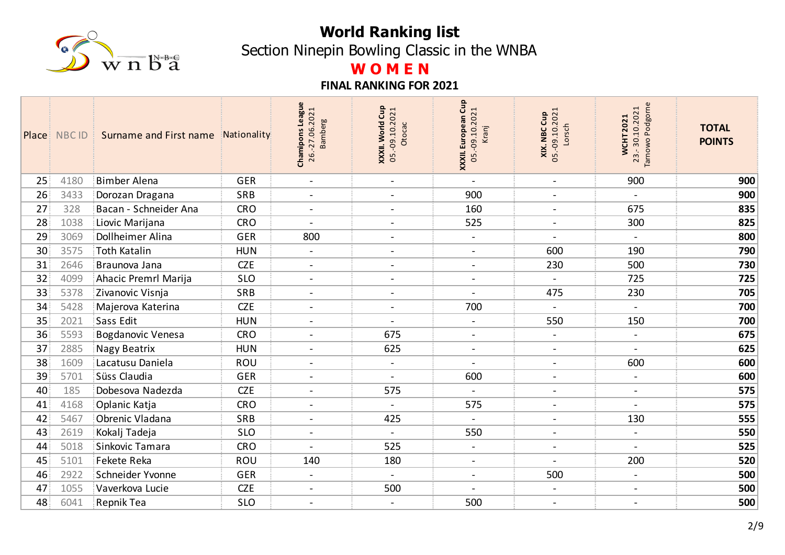

Section Ninepin Bowling Classic in the WNBA

# **W O M E N**

|    | Place NBC ID | Surname and First name<br>31 | Nationality | Chamipons League<br>26.-27.06.2021<br><b>Bamberg</b> | Cup<br>05.-09.10.2021<br><b>World</b><br>Otocac<br>XXXII. | XXXII. European Cup<br>05.-09.10.2021<br>Kranj | <b>XIX. NBC Cup</b><br>05.-09.10.2021<br>Lorsch | Podgorne<br>23.-30.10.2021<br><b>WCHT2021</b><br>Tarnowo | <b>TOTAL</b><br><b>POINTS</b> |
|----|--------------|------------------------------|-------------|------------------------------------------------------|-----------------------------------------------------------|------------------------------------------------|-------------------------------------------------|----------------------------------------------------------|-------------------------------|
| 25 | 4180         | <b>Bimber Alena</b>          | <b>GER</b>  | $\blacksquare$                                       | $\blacksquare$                                            | $\blacksquare$                                 | $\blacksquare$                                  | 900                                                      | 900                           |
| 26 | 3433         | Dorozan Dragana              | SRB         | $\blacksquare$                                       | $\overline{\phantom{0}}$                                  | 900                                            | $\blacksquare$                                  |                                                          | 900                           |
| 27 | 328          | Bacan - Schneider Ana        | <b>CRO</b>  | $\blacksquare$                                       | $\blacksquare$                                            | 160                                            | $\blacksquare$                                  | 675                                                      | 835                           |
| 28 | 1038         | Liovic Marijana              | <b>CRO</b>  | $\blacksquare$                                       | $\overline{\phantom{0}}$                                  | 525                                            | $\blacksquare$                                  | 300                                                      | 825                           |
| 29 | 3069         | Dollheimer Alina             | <b>GER</b>  | 800                                                  | $\blacksquare$                                            | $\blacksquare$                                 | $\blacksquare$                                  | $\blacksquare$                                           | 800                           |
| 30 | 3575         | Toth Katalin                 | <b>HUN</b>  | $\blacksquare$                                       | $\blacksquare$                                            | $\overline{\phantom{a}}$                       | 600                                             | 190                                                      | 790                           |
| 31 | 2646         | Braunova Jana                | <b>CZE</b>  | $\blacksquare$                                       | $\blacksquare$                                            | $\blacksquare$                                 | 230                                             | 500                                                      | 730                           |
| 32 | 4099         | Ahacic Premrl Marija         | <b>SLO</b>  | $\blacksquare$                                       | $\overline{a}$                                            | $\blacksquare$                                 | $\blacksquare$                                  | 725                                                      | 725                           |
| 33 | 5378         | Zivanovic Visnja             | SRB         | $\blacksquare$                                       | $\overline{\phantom{a}}$                                  | $\blacksquare$                                 | 475                                             | 230                                                      | 705                           |
| 34 | 5428         | Majerova Katerina            | <b>CZE</b>  | $\blacksquare$                                       | $\overline{\phantom{a}}$                                  | 700                                            |                                                 |                                                          | 700                           |
| 35 | 2021         | Sass Edit                    | <b>HUN</b>  | $\overline{\phantom{0}}$                             | $\blacksquare$                                            | $\blacksquare$                                 | 550                                             | 150                                                      | 700                           |
| 36 | 5593         | <b>Bogdanovic Venesa</b>     | <b>CRO</b>  |                                                      | 675                                                       | $\blacksquare$                                 | $\overline{\phantom{a}}$                        | $\qquad \qquad \blacksquare$                             | 675                           |
| 37 | 2885         | Nagy Beatrix                 | <b>HUN</b>  | $\blacksquare$                                       | 625                                                       | $\blacksquare$                                 | $\overline{\phantom{a}}$                        | $\overline{\phantom{0}}$                                 | 625                           |
| 38 | 1609         | Lacatusu Daniela             | ROU         | $\overline{\phantom{a}}$                             | $\overline{\phantom{0}}$                                  | $\overline{\phantom{a}}$                       | $\blacksquare$                                  | 600                                                      | 600                           |
| 39 | 5701         | Süss Claudia                 | <b>GER</b>  | $\blacksquare$                                       | $\blacksquare$                                            | 600                                            | $\overline{\phantom{a}}$                        | $\qquad \qquad -$                                        | 600                           |
| 40 | 185          | Dobesova Nadezda             | <b>CZE</b>  |                                                      | 575                                                       | $\sim$                                         | $\overline{\phantom{a}}$                        | $\overline{\phantom{a}}$                                 | 575                           |
| 41 | 4168         | Oplanic Katja                | <b>CRO</b>  | $\blacksquare$                                       | $\overline{\phantom{a}}$                                  | 575                                            | $\overline{\phantom{a}}$                        | $\blacksquare$                                           | 575                           |
| 42 | 5467         | Obrenic Vladana              | <b>SRB</b>  | $\overline{\phantom{a}}$                             | 425                                                       | $\overline{\phantom{a}}$                       | $\blacksquare$                                  | 130                                                      | 555                           |
| 43 | 2619         | Kokalj Tadeja                | <b>SLO</b>  | $\blacksquare$                                       | $\overline{a}$                                            | 550                                            | $\blacksquare$                                  | $\overline{\phantom{a}}$                                 | 550                           |
| 44 | 5018         | Sinkovic Tamara              | <b>CRO</b>  | $\blacksquare$                                       | 525                                                       | $\blacksquare$                                 | $\blacksquare$                                  | $\overline{\phantom{a}}$                                 | 525                           |
| 45 | 5101         | Fekete Reka                  | ROU         | 140                                                  | 180                                                       | $\blacksquare$                                 | $\blacksquare$                                  | 200                                                      | 520                           |
| 46 | 2922         | Schneider Yvonne             | <b>GER</b>  | $\blacksquare$                                       | $\blacksquare$                                            | $\blacksquare$                                 | 500                                             | $\blacksquare$                                           | 500                           |
| 47 | 1055         | Vaverkova Lucie              | <b>CZE</b>  | $\blacksquare$                                       | 500                                                       | $\overline{a}$                                 | $\overline{\phantom{a}}$                        | $\blacksquare$                                           | 500                           |
| 48 | 6041         | Repnik Tea                   | <b>SLO</b>  | $\blacksquare$                                       | $\overline{\phantom{a}}$                                  | 500                                            | $\overline{\phantom{a}}$                        | $\blacksquare$                                           | 500                           |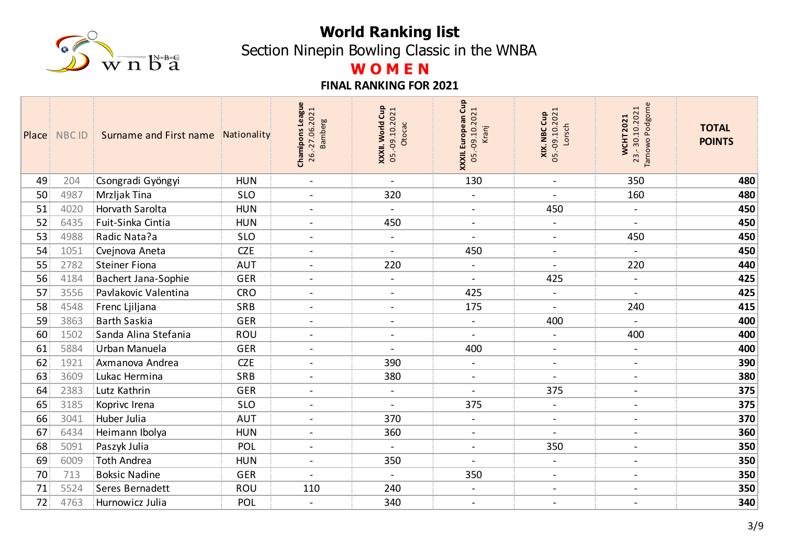

Section Ninepin Bowling Classic in the WNBA

# **W O M E N**

|    | Place NBC ID | Surname and First name<br><b>A</b> | Nationality | Chamipons League<br>26.-27.06.2021<br><b>Bamberg</b> | Cup<br>05.-09.10.2021<br><b>World</b><br>Otocac<br>XXXII. | XXXII. European Cup<br>05.-09.10.2021<br>Kranj | <b>XIX. NBC Cup</b><br>05.-09.10.2021<br>Lorsch | Podgorne<br>23.-30.10.2021<br><b>WCHT2021</b><br>Tarnowo | <b>TOTAL</b><br><b>POINTS</b> |
|----|--------------|------------------------------------|-------------|------------------------------------------------------|-----------------------------------------------------------|------------------------------------------------|-------------------------------------------------|----------------------------------------------------------|-------------------------------|
| 49 | 204          | Csongradi Gyöngyi                  | <b>HUN</b>  | $\blacksquare$                                       | $\blacksquare$                                            | 130                                            | $\blacksquare$                                  | 350                                                      | 480                           |
| 50 | 4987         | Mrzljak Tina                       | <b>SLO</b>  | $\blacksquare$                                       | 320                                                       | $\mathcal{L}$                                  | $\sim$                                          | 160                                                      | 480                           |
| 51 | 4020         | Horvath Sarolta                    | <b>HUN</b>  | $\blacksquare$                                       | $\blacksquare$                                            | $\blacksquare$                                 | 450                                             | $\overline{a}$                                           | 450                           |
| 52 | 6435         | Fuit-Sinka Cintia                  | <b>HUN</b>  | $\blacksquare$                                       | 450                                                       | $\blacksquare$                                 | $\blacksquare$                                  |                                                          | 450                           |
| 53 | 4988         | Radic Nata?a                       | <b>SLO</b>  | $\blacksquare$                                       | $\blacksquare$                                            | $\blacksquare$                                 | $\blacksquare$                                  | 450                                                      | 450                           |
| 54 | 1051         | Cvejnova Aneta                     | <b>CZE</b>  | $\overline{\phantom{a}}$                             | $\qquad \qquad -$                                         | 450                                            | $\blacksquare$                                  |                                                          | 450                           |
| 55 | 2782         | <b>Steiner Fiona</b>               | <b>AUT</b>  | $\blacksquare$                                       | 220                                                       | $\blacksquare$                                 | $\blacksquare$                                  | 220                                                      | 440                           |
| 56 | 4184         | Bachert Jana-Sophie                | GER         | $\sim$                                               | $\overline{a}$                                            | $\blacksquare$                                 | 425                                             | $\overline{\phantom{a}}$                                 | 425                           |
| 57 | 3556         | Pavlakovic Valentina               | <b>CRO</b>  | $\blacksquare$                                       | $\overline{\phantom{a}}$                                  | 425                                            | $\blacksquare$                                  |                                                          | 425                           |
| 58 | 4548         | Frenc Ljiljana                     | <b>SRB</b>  | $\blacksquare$                                       | $\overline{\phantom{0}}$                                  | 175                                            | $\overline{\phantom{a}}$                        | 240                                                      | 415                           |
| 59 | 3863         | <b>Barth Saskia</b>                | <b>GER</b>  | $\overline{\phantom{0}}$                             | $\blacksquare$                                            | $\blacksquare$                                 | 400                                             | $\blacksquare$                                           | 400                           |
| 60 | 1502         | Sanda Alina Stefania               | ROU         | $\overline{\phantom{0}}$                             |                                                           | $\overline{\phantom{a}}$                       | $\blacksquare$                                  | 400                                                      | 400                           |
| 61 | 5884         | Urban Manuela                      | <b>GER</b>  | $\overline{\phantom{a}}$                             | $\blacksquare$                                            | 400                                            | $\overline{\phantom{a}}$                        | $\blacksquare$                                           | 400                           |
| 62 | 1921         | Axmanova Andrea                    | <b>CZE</b>  | $\overline{\phantom{a}}$                             | 390                                                       | $\blacksquare$                                 | $\blacksquare$                                  | $\blacksquare$                                           | 390                           |
| 63 | 3609         | Lukac Hermina                      | SRB         | $\blacksquare$                                       | 380                                                       | $\overline{\phantom{a}}$                       | $\blacksquare$                                  | $\blacksquare$                                           | 380                           |
| 64 | 2383         | Lutz Kathrin                       | <b>GER</b>  | $\blacksquare$                                       | $\blacksquare$                                            | $\blacksquare$                                 | 375                                             | $\overline{\phantom{a}}$                                 | 375                           |
| 65 | 3185         | Koprivc Irena                      | <b>SLO</b>  | $\blacksquare$                                       | $\blacksquare$                                            | 375                                            | $\blacksquare$                                  | $\overline{\phantom{a}}$                                 | 375                           |
| 66 | 3041         | Huber Julia                        | <b>AUT</b>  | $\overline{\phantom{a}}$                             | 370                                                       | $\blacksquare$                                 | $\blacksquare$                                  | $\overline{\phantom{a}}$                                 | 370                           |
| 67 | 6434         | Heimann Ibolya                     | <b>HUN</b>  | $\blacksquare$                                       | 360                                                       | $\blacksquare$                                 | $\sim$                                          | $\blacksquare$                                           | 360                           |
| 68 | 5091         | Paszyk Julia                       | POL         | $\overline{\phantom{a}}$                             | $\blacksquare$                                            | $\blacksquare$                                 | 350                                             | $\blacksquare$                                           | 350                           |
| 69 | 6009         | Toth Andrea                        | <b>HUN</b>  | $\blacksquare$                                       | 350                                                       | $\overline{a}$                                 | $\blacksquare$                                  | $\blacksquare$                                           | 350                           |
| 70 | 713          | <b>Boksic Nadine</b>               | <b>GER</b>  | $\blacksquare$                                       | $\blacksquare$                                            | 350                                            | $\blacksquare$                                  | $\blacksquare$                                           | 350                           |
| 71 | 5524         | Seres Bernadett                    | ROU         | 110                                                  | 240                                                       | $\blacksquare$                                 | $\sim$                                          | $\blacksquare$                                           | 350                           |
| 72 | 4763         | Hurnowicz Julia                    | POL         | $\blacksquare$                                       | 340                                                       | $\blacksquare$                                 | $\overline{\phantom{a}}$                        | $\blacksquare$                                           | 340                           |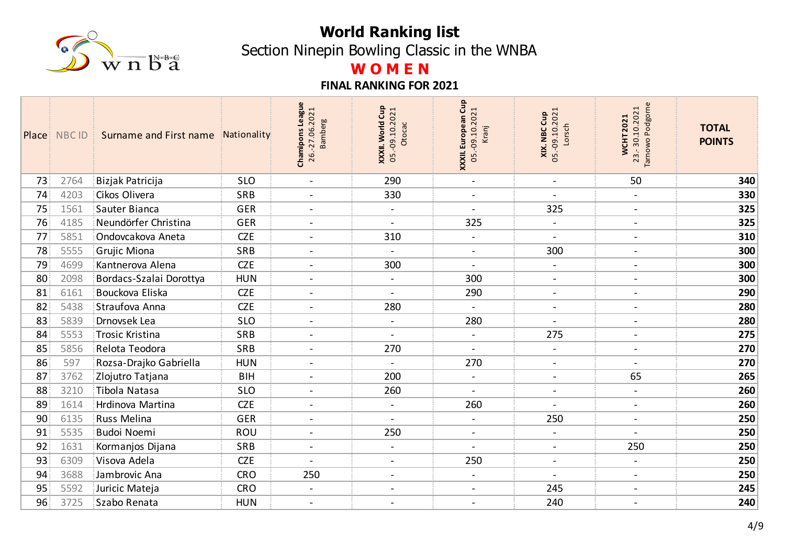

Section Ninepin Bowling Classic in the WNBA

# **W O M E N**

|    | Place NBC ID | Surname and First name<br>-31 | Nationality | Chamipons League<br>26.-27.06.2021<br><b>Bamberg</b> | Cup<br>05.-09.10.2021<br>World<br>Otocac<br>XXXII. | XXXII. European Cup<br>05.-09.10.2021<br>Kranj | <b>XIX. NBC Cup</b><br>05.-09.10.2021<br><b>and</b><br>Lorsch | Podgorne<br>23.-30.10.2021<br><b>WCHT2021</b><br>Tarnowo | <b>TOTAL</b><br><b>POINTS</b> |
|----|--------------|-------------------------------|-------------|------------------------------------------------------|----------------------------------------------------|------------------------------------------------|---------------------------------------------------------------|----------------------------------------------------------|-------------------------------|
| 73 | 2764         | Bizjak Patricija              | <b>SLO</b>  | $\blacksquare$                                       | 290                                                | $\blacksquare$                                 | $\blacksquare$                                                | 50                                                       | 340                           |
| 74 | 4203         | Cikos Olivera                 | SRB         | $\qquad \qquad -$                                    | 330                                                | $\overline{\phantom{a}}$                       | $\overline{\phantom{a}}$                                      | $\blacksquare$                                           | 330                           |
| 75 | 1561         | Sauter Bianca                 | <b>GER</b>  | $\overline{\phantom{a}}$                             | $\blacksquare$                                     | $\blacksquare$                                 | 325                                                           | $\overline{a}$                                           | 325                           |
| 76 | 4185         | Neundörfer Christina          | <b>GER</b>  | $\overline{\phantom{0}}$                             | $\blacksquare$                                     | 325                                            | $\blacksquare$                                                | $\overline{\phantom{a}}$                                 | 325                           |
| 77 | 5851         | Ondovcakova Aneta             | <b>CZE</b>  | $\overline{\phantom{a}}$                             | 310                                                | $\blacksquare$                                 | $\overline{\phantom{a}}$                                      | $\qquad \qquad -$                                        | 310                           |
| 78 | 5555         | Grujic Miona                  | SRB         | $\blacksquare$                                       |                                                    | $\blacksquare$                                 | 300                                                           | $\overline{\phantom{a}}$                                 | 300                           |
| 79 | 4699         | Kantnerova Alena              | <b>CZE</b>  | $\blacksquare$                                       | 300                                                | $\overline{\phantom{a}}$                       | $\blacksquare$                                                | $\qquad \qquad -$                                        | 300                           |
| 80 | 2098         | Bordacs-Szalai Dorottya       | <b>HUN</b>  | $\blacksquare$                                       | $\overline{\phantom{0}}$                           | 300                                            | $\blacksquare$                                                | $\overline{\phantom{a}}$                                 | 300                           |
| 81 | 6161         | Bouckova Eliska               | <b>CZE</b>  | $\overline{\phantom{a}}$                             | $\blacksquare$                                     | 290                                            | $\overline{\phantom{a}}$                                      | $\overline{\phantom{a}}$                                 | 290                           |
| 82 | 5438         | Straufova Anna                | <b>CZE</b>  | $\overline{a}$                                       | 280                                                | $\blacksquare$                                 | $\blacksquare$                                                | $\blacksquare$                                           | 280                           |
| 83 | 5839         | Drnovsek Lea                  | <b>SLO</b>  | $\overline{\phantom{a}}$                             | $\blacksquare$                                     | 280                                            | $\blacksquare$                                                | $\overline{\phantom{a}}$                                 | 280                           |
| 84 | 5553         | Trosic Kristina               | <b>SRB</b>  |                                                      |                                                    | $\overline{\phantom{a}}$                       | 275                                                           |                                                          | 275                           |
| 85 | 5856         | Relota Teodora                | SRB         | $\blacksquare$                                       | 270                                                | $\blacksquare$                                 | $\blacksquare$                                                | $\blacksquare$                                           | 270                           |
| 86 | 597          | Rozsa-Drajko Gabriella        | <b>HUN</b>  | $\qquad \qquad \blacksquare$                         |                                                    | 270                                            | $\overline{\phantom{a}}$                                      |                                                          | 270                           |
| 87 | 3762         | Zlojutro Tatjana              | <b>BIH</b>  | $\overline{\phantom{0}}$                             | 200                                                | $\blacksquare$                                 | $\overline{\phantom{a}}$                                      | 65                                                       | 265                           |
| 88 | 3210         | Tibola Natasa                 | <b>SLO</b>  | $\qquad \qquad \blacksquare$                         | 260                                                | $\blacksquare$                                 | $\overline{\phantom{a}}$                                      | $\overline{\phantom{a}}$                                 | 260                           |
| 89 | 1614         | Hrdinova Martina              | <b>CZE</b>  | $\overline{\phantom{a}}$                             | $\blacksquare$                                     | 260                                            | $\overline{\phantom{a}}$                                      | $\blacksquare$                                           | 260                           |
| 90 | 6135         | Russ Melina                   | <b>GER</b>  | $\blacksquare$                                       |                                                    | $\overline{\phantom{a}}$                       | 250                                                           | $\qquad \qquad -$                                        | 250                           |
| 91 | 5535         | <b>Budoi Noemi</b>            | ROU         | $\blacksquare$                                       | 250                                                | $\blacksquare$                                 | $\blacksquare$                                                | $\overline{\phantom{a}}$                                 | 250                           |
| 92 | 1631         | Kormanjos Dijana              | <b>SRB</b>  | $\overline{\phantom{a}}$                             | $\overline{\phantom{a}}$                           |                                                | $\blacksquare$                                                | 250                                                      | 250                           |
| 93 | 6309         | Visova Adela                  | <b>CZE</b>  | $\blacksquare$                                       | $\overline{\phantom{a}}$                           | 250                                            | $\overline{\phantom{a}}$                                      | $\overline{\phantom{a}}$                                 | 250                           |
| 94 | 3688         | Jambrovic Ana                 | <b>CRO</b>  | 250                                                  | $\blacksquare$                                     | $\blacksquare$                                 | $\blacksquare$                                                | $\overline{\phantom{a}}$                                 | 250                           |
| 95 | 5592         | Juricic Mateja                | <b>CRO</b>  | $\frac{1}{2}$                                        | $\overline{\phantom{0}}$                           | $\blacksquare$                                 | 245                                                           | $\blacksquare$                                           | 245                           |
| 96 | 3725         | Szabo Renata                  | <b>HUN</b>  | $\overline{\phantom{a}}$                             | $\overline{\phantom{a}}$                           | $\blacksquare$                                 | 240                                                           | $\overline{\phantom{a}}$                                 | 240                           |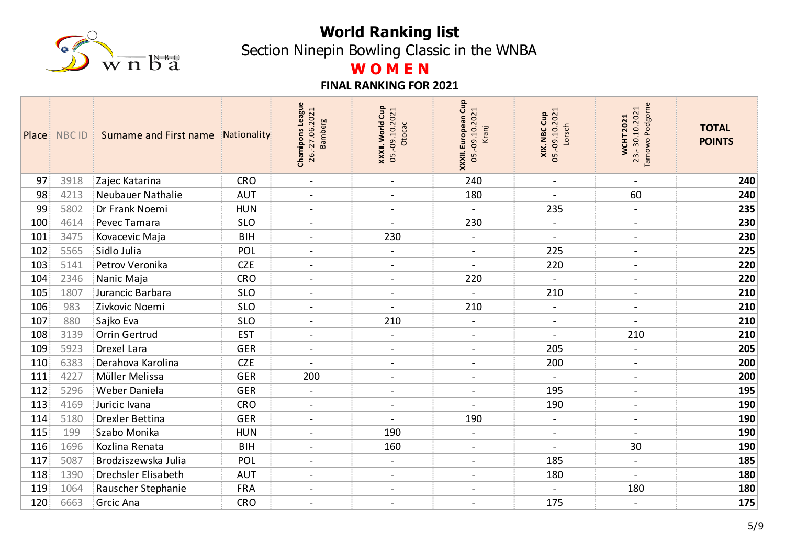

Section Ninepin Bowling Classic in the WNBA

# **W O M E N**

|                     | Place NBC ID | Surname and First name     | Nationality | <b>Chamipons League</b><br>26.-27.06.2021<br>amberg<br>$\overline{m}$ | Gup<br><b>XXXII. World Cup</b><br>05.-09.10.2021<br>Otocac | XXXII. European Cup<br>05.-09.10.2021<br>Kranj | <b>XIX. NBC Cup</b><br>05.-09.10.2021<br>Lorsch | Podgorne<br>23.-30.10.2021<br><b>WCHT2021</b><br>Tarnowo | <b>TOTAL</b><br><b>POINTS</b> |
|---------------------|--------------|----------------------------|-------------|-----------------------------------------------------------------------|------------------------------------------------------------|------------------------------------------------|-------------------------------------------------|----------------------------------------------------------|-------------------------------|
| 97                  | 3918         | Zajec Katarina             | <b>CRO</b>  | $\blacksquare$                                                        | $\blacksquare$                                             | 240                                            | $\blacksquare$                                  | $\blacksquare$                                           | 240                           |
| 98                  | 4213         | Neubauer Nathalie          | <b>AUT</b>  | $\overline{\phantom{a}}$                                              | $\overline{\phantom{a}}$                                   | 180                                            | $\blacksquare$                                  | 60                                                       | 240                           |
| 99                  | 5802         | Dr Frank Noemi             | <b>HUN</b>  | $\blacksquare$                                                        | $\overline{\phantom{a}}$                                   | $\blacksquare$                                 | 235                                             | $\blacksquare$                                           | 235                           |
| $100^{\frac{1}{3}}$ | 4614         | Pevec Tamara               | <b>SLO</b>  | $\overline{a}$                                                        | $\blacksquare$                                             | 230                                            | $\blacksquare$                                  | $\overline{\phantom{a}}$                                 | 230                           |
| 101                 | 3475         | Kovacevic Maja             | <b>BIH</b>  | $\overline{\phantom{a}}$                                              | 230                                                        | $\blacksquare$                                 | $\blacksquare$                                  | $\overline{\phantom{a}}$                                 | 230                           |
| 102                 | 5565         | Sidlo Julia                | POL         | $\overline{\phantom{a}}$                                              | $\overline{\phantom{a}}$                                   | $\blacksquare$                                 | 225                                             | $\blacksquare$                                           | 225                           |
| 103                 | 5141         | Petrov Veronika            | <b>CZE</b>  | $\blacksquare$                                                        | $\blacksquare$                                             | $\blacksquare$                                 | 220                                             | $\overline{\phantom{a}}$                                 | 220                           |
| 104                 | 2346         | Nanic Maja                 | <b>CRO</b>  | $\overline{\phantom{a}}$                                              | $\blacksquare$                                             | 220                                            | $\blacksquare$                                  | $\blacksquare$                                           | 220                           |
| 105                 | 1807         | Jurancic Barbara           | <b>SLO</b>  | $\blacksquare$                                                        | $\blacksquare$                                             | $\blacksquare$                                 | 210                                             | $\overline{\phantom{a}}$                                 | 210                           |
| 106                 | 983          | Zivkovic Noemi             | <b>SLO</b>  | $\blacksquare$                                                        |                                                            | 210                                            | $\blacksquare$                                  | $\blacksquare$                                           | 210                           |
| 107                 | 880          | Sajko Eva                  | <b>SLO</b>  | $\sim$                                                                | 210                                                        | $\blacksquare$                                 | $\blacksquare$                                  | $\blacksquare$                                           | 210                           |
| 108                 | 3139         | Orrin Gertrud              | <b>EST</b>  | $\overline{a}$                                                        |                                                            | $\blacksquare$                                 |                                                 | 210                                                      | 210                           |
| 109                 | 5923         | Drexel Lara                | <b>GER</b>  | $\blacksquare$                                                        | $\blacksquare$                                             | $\overline{\phantom{a}}$                       | 205                                             | $\overline{\phantom{a}}$                                 | 205                           |
| 110                 | 6383         | Derahova Karolina          | <b>CZE</b>  |                                                                       | $\overline{\phantom{a}}$                                   | $\blacksquare$                                 | 200                                             | $\blacksquare$                                           | 200                           |
| 111                 | 4227         | Müller Melissa             | <b>GER</b>  | 200                                                                   | $\blacksquare$                                             | $\blacksquare$                                 | $\blacksquare$                                  | $\overline{\phantom{a}}$                                 | 200                           |
| 112                 | 5296         | Weber Daniela              | <b>GER</b>  |                                                                       | $\overline{\phantom{a}}$                                   | $\blacksquare$                                 | 195                                             | $\blacksquare$                                           | 195                           |
| 113                 | 4169         | Juricic Ivana              | <b>CRO</b>  | $\overline{a}$                                                        | $\blacksquare$                                             | $\sim$                                         | 190                                             | $\overline{\phantom{a}}$                                 | 190                           |
| 114                 | 5180         | <b>Drexler Bettina</b>     | <b>GER</b>  | $\overline{\phantom{a}}$                                              | $\blacksquare$                                             | 190                                            | $\blacksquare$                                  | $\blacksquare$                                           | 190                           |
| 115                 | 199          | Szabo Monika               | <b>HUN</b>  | $\frac{1}{2}$                                                         | 190                                                        | $\overline{\phantom{a}}$                       | $\blacksquare$                                  | $\blacksquare$                                           | 190                           |
| 116                 | 1696         | Kozlina Renata             | <b>BIH</b>  | $\overline{\phantom{a}}$                                              | 160                                                        | $\blacksquare$                                 | $\blacksquare$                                  | 30                                                       | 190                           |
| 117                 | 5087         | Brodziszewska Julia        | POL         | $\overline{a}$                                                        | $\blacksquare$                                             | $\overline{\phantom{a}}$                       | 185                                             | $\overline{\phantom{a}}$                                 | 185                           |
| 118                 | 1390         | <b>Drechsler Elisabeth</b> | <b>AUT</b>  | $\blacksquare$                                                        | $\blacksquare$                                             | $\blacksquare$                                 | 180                                             | $\blacksquare$                                           | 180                           |
| 119                 | 1064         | Rauscher Stephanie         | <b>FRA</b>  | $\blacksquare$                                                        | $\blacksquare$                                             | $\blacksquare$                                 |                                                 | 180                                                      | 180                           |
| 120                 | 6663         | <b>Grcic Ana</b>           | <b>CRO</b>  | $\overline{\phantom{a}}$                                              | $\sim$                                                     | $\overline{\phantom{a}}$                       | 175                                             | $\blacksquare$                                           | 175                           |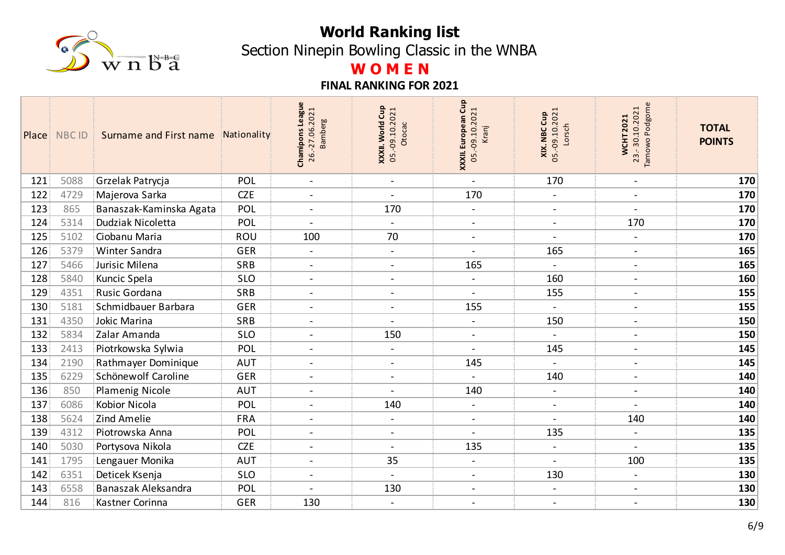

Section Ninepin Bowling Classic in the WNBA

# **W O M E N**

|     | Place NBC ID | Surname and First name  | Nationality | Chamipons League<br>26.-27.06.2021<br>amberg<br>m | Cup<br>05.-09.10.2021<br>XXXII. World<br>Otocac | XXXII. European Cup<br>05.-09.10.2021<br>Kranj | <b>XIX. NBC Cup</b><br>05.-09.10.2021<br>Lorsch | Podgorne<br>23.-30.10.2021<br><b>WCHT2021</b><br>Tarnowo | <b>TOTAL</b><br><b>POINTS</b> |
|-----|--------------|-------------------------|-------------|---------------------------------------------------|-------------------------------------------------|------------------------------------------------|-------------------------------------------------|----------------------------------------------------------|-------------------------------|
| 121 | 5088         | Grzelak Patrycja        | POL         | $\blacksquare$                                    | $\sim$                                          | $\blacksquare$                                 | 170                                             | $\overline{\phantom{a}}$                                 | 170                           |
| 122 | 4729         | Majerova Sarka          | <b>CZE</b>  | $\overline{a}$                                    | $\blacksquare$                                  | 170                                            | $\blacksquare$                                  | $\overline{\phantom{a}}$                                 | 170                           |
| 123 | 865          | Banaszak-Kaminska Agata | POL         | $\blacksquare$                                    | 170                                             | $\blacksquare$                                 | $\blacksquare$                                  | $\blacksquare$                                           | 170                           |
| 124 | 5314         | Dudziak Nicoletta       | POL         | $\overline{a}$                                    | $\sim$                                          | $\blacksquare$                                 | $\blacksquare$                                  | 170                                                      | 170                           |
| 125 | 5102         | Ciobanu Maria           | <b>ROU</b>  | 100                                               | 70                                              | $\blacksquare$                                 | $\blacksquare$                                  | $\overline{\phantom{a}}$                                 | 170                           |
| 126 | 5379         | Winter Sandra           | <b>GER</b>  | $\overline{\phantom{a}}$                          | $\overline{\phantom{a}}$                        | $\overline{\phantom{a}}$                       | 165                                             | $\overline{\phantom{a}}$                                 | 165                           |
| 127 | 5466         | Jurisic Milena          | SRB         | $\blacksquare$                                    | $\blacksquare$                                  | 165                                            | $\blacksquare$                                  | $\overline{\phantom{a}}$                                 | 165                           |
| 128 | 5840         | Kuncic Spela            | <b>SLO</b>  | $\overline{a}$                                    | $\blacksquare$                                  | $\blacksquare$                                 | 160                                             | $\blacksquare$                                           | 160                           |
| 129 | 4351         | Rusic Gordana           | SRB         | $\blacksquare$                                    | $\overline{\phantom{a}}$                        | $\blacksquare$                                 | 155                                             | $\overline{\phantom{a}}$                                 | 155                           |
| 130 | 5181         | Schmidbauer Barbara     | <b>GER</b>  | $\overline{\phantom{a}}$                          |                                                 | 155                                            |                                                 | $\overline{\phantom{a}}$                                 | 155                           |
| 131 | 4350         | Jokic Marina            | SRB         | $\overline{\phantom{a}}$                          | $\sim$                                          | $\blacksquare$                                 | 150                                             | $\overline{\phantom{a}}$                                 | 150                           |
| 132 | 5834         | Zalar Amanda            | <b>SLO</b>  |                                                   | 150                                             | $\overline{\phantom{a}}$                       |                                                 | $\overline{\phantom{a}}$                                 | 150                           |
| 133 | 2413         | Piotrkowska Sylwia      | POL         | $\overline{\phantom{a}}$                          | $\overline{\phantom{a}}$                        | $\blacksquare$                                 | 145                                             | $\blacksquare$                                           | 145                           |
| 134 | 2190         | Rathmayer Dominique     | <b>AUT</b>  | $\overline{\phantom{a}}$                          | $\overline{\phantom{a}}$                        | 145                                            |                                                 | $\blacksquare$                                           | 145                           |
| 135 | 6229         | Schönewolf Caroline     | <b>GER</b>  | $\blacksquare$                                    | $\blacksquare$                                  | $\blacksquare$                                 | 140                                             | $\blacksquare$                                           | 140                           |
| 136 | 850          | <b>Plamenig Nicole</b>  | <b>AUT</b>  | $\overline{\phantom{a}}$                          |                                                 | 140                                            | $\blacksquare$                                  | $\blacksquare$                                           | 140                           |
| 137 | 6086         | <b>Kobior Nicola</b>    | POL         | $\blacksquare$                                    | 140                                             | $\blacksquare$                                 | $\blacksquare$                                  | $\blacksquare$                                           | 140                           |
| 138 | 5624         | Zind Amelie             | <b>FRA</b>  | $\blacksquare$                                    | $\overline{\phantom{a}}$                        | $\blacksquare$                                 | $\blacksquare$                                  | 140                                                      | 140                           |
| 139 | 4312         | Piotrowska Anna         | POL         | $\blacksquare$                                    | $\blacksquare$                                  | $\blacksquare$                                 | 135                                             | $\overline{\phantom{a}}$                                 | 135                           |
| 140 | 5030         | Portysova Nikola        | <b>CZE</b>  | $\overline{\phantom{a}}$                          | $\blacksquare$                                  | 135                                            | $\blacksquare$                                  | $\overline{\phantom{a}}$                                 | 135                           |
| 141 | 1795         | Lengauer Monika         | <b>AUT</b>  | $\overline{a}$                                    | 35                                              | $\blacksquare$                                 | $\blacksquare$                                  | 100                                                      | 135                           |
| 142 | 6351         | Deticek Ksenja          | <b>SLO</b>  | $\blacksquare$                                    | $\blacksquare$                                  | $\blacksquare$                                 | 130                                             | $\blacksquare$                                           | 130                           |
| 143 | 6558         | Banaszak Aleksandra     | POL         |                                                   | 130                                             | $\blacksquare$                                 | $\blacksquare$                                  | $\blacksquare$                                           | 130                           |
| 144 | 816          | Kastner Corinna         | <b>GER</b>  | 130                                               | $\blacksquare$                                  | $\overline{\phantom{a}}$                       | $\blacksquare$                                  | $\blacksquare$                                           | 130                           |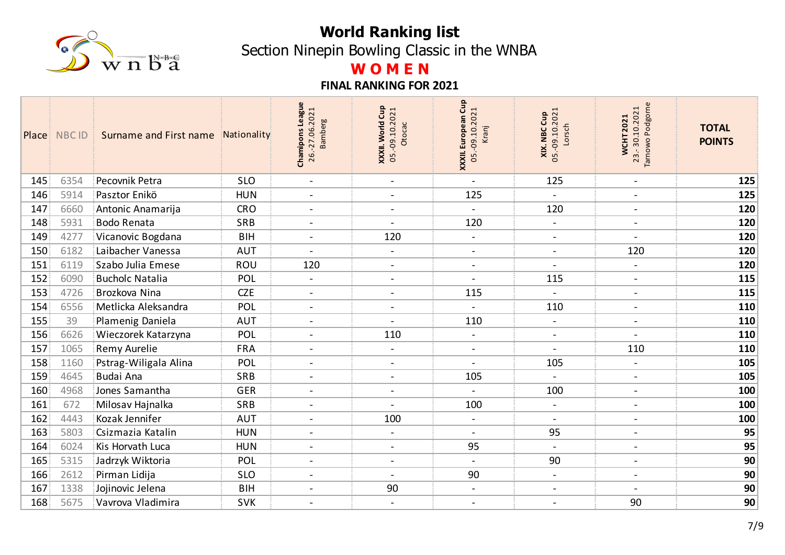

Section Ninepin Bowling Classic in the WNBA

# **W O M E N**

|                  | Place NBC ID | Surname and First name | Nationality | Chamipons League<br>26.-27.06.2021<br><b>Bamberg</b> | Cup<br>05.-09.10.2021<br>XXXII. World<br>Otocac | XXXII. European Cup<br>05.-09.10.2021<br>Kranj | <b>XIX. NBC Cup</b><br>05.-09.10.2021<br>Lorsch | Podgorne<br>23.-30.10.2021<br><b>WCHT2021</b><br>Tarnowo | <b>TOTAL</b><br><b>POINTS</b> |
|------------------|--------------|------------------------|-------------|------------------------------------------------------|-------------------------------------------------|------------------------------------------------|-------------------------------------------------|----------------------------------------------------------|-------------------------------|
| 145              | 6354         | Pecovnik Petra         | <b>SLO</b>  | $\blacksquare$                                       | $\blacksquare$                                  | $\blacksquare$                                 | 125                                             | $\overline{\phantom{a}}$                                 | 125                           |
| 146              | 5914         | Pasztor Enikö          | <b>HUN</b>  | $\overline{a}$                                       | $\blacksquare$                                  | 125                                            |                                                 | $\overline{\phantom{a}}$                                 | 125                           |
| 147              | 6660         | Antonic Anamarija      | <b>CRO</b>  | $\blacksquare$                                       | $\blacksquare$                                  | $\blacksquare$                                 | 120                                             | $\overline{\phantom{a}}$                                 | 120                           |
| 148              | 5931         | <b>Bodo Renata</b>     | SRB         | $\overline{a}$                                       | $\blacksquare$                                  | 120                                            | $\blacksquare$                                  | $\overline{\phantom{a}}$                                 | 120                           |
| 149              | 4277         | Vicanovic Bogdana      | <b>BIH</b>  | $\blacksquare$                                       | 120                                             | $\blacksquare$                                 | $\blacksquare$                                  | $\overline{\phantom{a}}$                                 | 120                           |
| 150 <sub>3</sub> | 6182         | Laibacher Vanessa      | <b>AUT</b>  |                                                      |                                                 | $\blacksquare$                                 | $\blacksquare$                                  | 120                                                      | 120                           |
| 151              | 6119         | Szabo Julia Emese      | <b>ROU</b>  | 120                                                  | $\blacksquare$                                  | $\blacksquare$                                 | $\blacksquare$                                  | $\blacksquare$                                           | 120                           |
| 152              | 6090         | <b>Bucholc Natalia</b> | POL         | $\overline{a}$                                       | $\blacksquare$                                  | $\overline{a}$                                 | 115                                             | $\blacksquare$                                           | 115                           |
| 153              | 4726         | Brozkova Nina          | <b>CZE</b>  | $\blacksquare$                                       | $\sim$                                          | 115                                            | $\blacksquare$                                  | $\overline{\phantom{a}}$                                 | 115                           |
| 154              | 6556         | Metlicka Aleksandra    | POL         | $\overline{\phantom{a}}$                             |                                                 |                                                | 110                                             | $\overline{\phantom{a}}$                                 | 110                           |
| 155              | 39           | Plamenig Daniela       | <b>AUT</b>  | $\overline{\phantom{a}}$                             | $\sim$                                          | 110                                            | $\blacksquare$                                  | $\overline{\phantom{a}}$                                 | 110                           |
| 156              | 6626         | Wieczorek Katarzyna    | POL         |                                                      | 110                                             | $\blacksquare$                                 | $\blacksquare$                                  |                                                          | 110                           |
| 157              | 1065         | Remy Aurelie           | <b>FRA</b>  | $\blacksquare$                                       | $\overline{\phantom{a}}$                        | $\blacksquare$                                 | $\blacksquare$                                  | 110                                                      | 110                           |
| 158              | 1160         | Pstrag-Wiligala Alina  | POL         | $\overline{\phantom{a}}$                             |                                                 | $\overline{\phantom{a}}$                       | 105                                             | $\blacksquare$                                           | 105                           |
| 159              | 4645         | <b>Budai Ana</b>       | SRB         | $\blacksquare$                                       | $\blacksquare$                                  | 105                                            | $\blacksquare$                                  | $\overline{\phantom{a}}$                                 | 105                           |
| 160              | 4968         | Jones Samantha         | <b>GER</b>  | $\overline{\phantom{a}}$                             | $\overline{\phantom{a}}$                        |                                                | 100                                             | $\blacksquare$                                           | 100                           |
| 161              | 672          | Milosav Hajnalka       | SRB         | $\overline{a}$                                       | $\blacksquare$                                  | 100                                            | $\blacksquare$                                  | $\overline{\phantom{a}}$                                 | 100                           |
| 162              | 4443         | Kozak Jennifer         | <b>AUT</b>  | $\blacksquare$                                       | 100                                             | $\blacksquare$                                 | $\blacksquare$                                  | $\overline{\phantom{a}}$                                 | 100                           |
| 163              | 5803         | Csizmazia Katalin      | <b>HUN</b>  | $\blacksquare$                                       | $\overline{\phantom{0}}$                        | $\blacksquare$                                 | 95                                              | $\overline{\phantom{a}}$                                 | 95                            |
| 164              | 6024         | Kis Horvath Luca       | <b>HUN</b>  | $\overline{\phantom{a}}$                             | $\blacksquare$                                  | 95                                             | $\blacksquare$                                  | $\blacksquare$                                           | 95                            |
| 165              | 5315         | Jadrzyk Wiktoria       | POL         | $\blacksquare$                                       | $\blacksquare$                                  | $\blacksquare$                                 | 90                                              | $\overline{\phantom{a}}$                                 | 90                            |
| 166              | 2612         | Pirman Lidija          | <b>SLO</b>  | $\blacksquare$                                       | $\blacksquare$                                  | 90                                             | $\blacksquare$                                  | $\blacksquare$                                           | 90                            |
| 167              | 1338         | Jojinovic Jelena       | <b>BIH</b>  | $\overline{a}$                                       | 90                                              | $\blacksquare$                                 | $\blacksquare$                                  | $\sim$                                                   | 90                            |
| 168              | 5675         | Vavrova Vladimira      | <b>SVK</b>  | $\blacksquare$                                       | $\blacksquare$                                  | $\overline{\phantom{a}}$                       | $\blacksquare$                                  | 90                                                       | 90                            |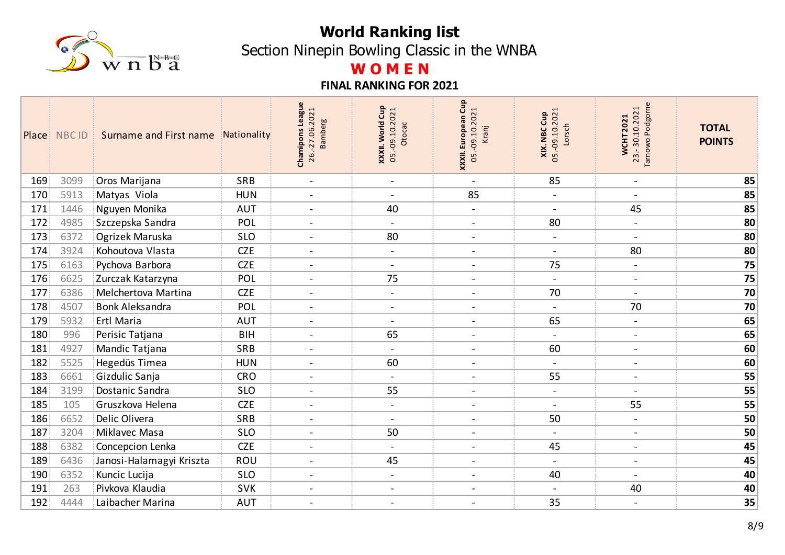

Section Ninepin Bowling Classic in the WNBA

# **W O M E N**

|     | Place NBC ID | Surname and First name   | Nationality | <b>Chamipons League</b><br>26.-27.06.2021<br>amberg<br>$\overline{m}$ | Gup<br><b>XXXII. World Cup</b><br>05.-09.10.2021<br>Otocac | XXXII. European Cup<br>05.-09.10.2021<br>Kranj | <b>XIX. NBC Cup</b><br>05.-09.10.2021<br>Lorsch | Podgorne<br>23.-30.10.2021<br><b>WCHT2021</b><br>Tarnowo | <b>TOTAL</b><br><b>POINTS</b> |
|-----|--------------|--------------------------|-------------|-----------------------------------------------------------------------|------------------------------------------------------------|------------------------------------------------|-------------------------------------------------|----------------------------------------------------------|-------------------------------|
| 169 | 3099         | Oros Marijana            | SRB         | $\overline{\phantom{a}}$                                              | $\blacksquare$                                             | $\blacksquare$                                 | 85                                              | $\blacksquare$                                           | 85                            |
| 170 | 5913         | Matyas Viola             | <b>HUN</b>  | $\overline{a}$                                                        | $\blacksquare$                                             | 85                                             | $\blacksquare$                                  | $\blacksquare$                                           | 85                            |
| 171 | 1446         | Nguyen Monika            | <b>AUT</b>  | $\overline{\phantom{a}}$                                              | 40                                                         | $\blacksquare$                                 | $\blacksquare$                                  | 45                                                       | 85                            |
| 172 | 4985         | Szczepska Sandra         | POL         | $\sim$                                                                | $\blacksquare$                                             | $\blacksquare$                                 | 80                                              | $\blacksquare$                                           | 80                            |
| 173 | 6372         | Ogrizek Maruska          | <b>SLO</b>  | $\overline{\phantom{a}}$                                              | 80                                                         | $\blacksquare$                                 | $\blacksquare$                                  | $\blacksquare$                                           | 80                            |
| 174 | 3924         | Kohoutova Vlasta         | <b>CZE</b>  | $\blacksquare$                                                        | $\overline{\phantom{a}}$                                   | $\blacksquare$                                 | $\blacksquare$                                  | 80                                                       | 80                            |
| 175 | 6163         | Pychova Barbora          | <b>CZE</b>  | $\overline{\phantom{a}}$                                              | $\blacksquare$                                             | $\blacksquare$                                 | 75                                              | $\qquad \qquad -$                                        | 75                            |
| 176 | 6625         | Zurczak Katarzyna        | POL         | $\sim$                                                                | 75                                                         | $\blacksquare$                                 | $\blacksquare$                                  | $\sim$                                                   | 75                            |
| 177 | 6386         | Melchertova Martina      | <b>CZE</b>  | $\blacksquare$                                                        | $\blacksquare$                                             | $\blacksquare$                                 | 70                                              | $\blacksquare$                                           | 70                            |
| 178 | 4507         | <b>Bonk Aleksandra</b>   | POL         | $\overline{\phantom{a}}$                                              |                                                            | $\blacksquare$                                 | $\blacksquare$                                  | 70                                                       | 70                            |
| 179 | 5932         | Ertl Maria               | <b>AUT</b>  | $\blacksquare$                                                        | $\blacksquare$                                             | $\overline{\phantom{a}}$                       | 65                                              | $\blacksquare$                                           | 65                            |
| 180 | 996          | Perisic Tatjana          | <b>BIH</b>  |                                                                       | 65                                                         | $\blacksquare$                                 | $\overline{\phantom{a}}$                        | $\overline{\phantom{a}}$                                 | 65                            |
| 181 | 4927         | Mandic Tatjana           | SRB         | $\overline{\phantom{a}}$                                              | $\blacksquare$                                             | $\blacksquare$                                 | 60                                              | $\blacksquare$                                           | 60                            |
| 182 | 5525         | Hegedüs Timea            | <b>HUN</b>  | $\overline{\phantom{a}}$                                              | 60                                                         | $\blacksquare$                                 | $\overline{\phantom{0}}$                        | $\blacksquare$                                           | 60                            |
| 183 | 6661         | Gizdulic Sanja           | <b>CRO</b>  | $\sim$                                                                | $\blacksquare$                                             | $\blacksquare$                                 | 55                                              | $\blacksquare$                                           | 55                            |
| 184 | 3199         | Dostanic Sandra          | <b>SLO</b>  |                                                                       | 55                                                         | $\blacksquare$                                 | $\blacksquare$                                  | $\overline{\phantom{a}}$                                 | 55                            |
| 185 | 105          | Gruszkova Helena         | <b>CZE</b>  | $\blacksquare$                                                        | $\blacksquare$                                             | $\blacksquare$                                 | $\blacksquare$                                  | 55                                                       | 55                            |
| 186 | 6652         | Delic Olivera            | SRB         | $\overline{\phantom{a}}$                                              | $\blacksquare$                                             | $\blacksquare$                                 | 50                                              | $\blacksquare$                                           | 50                            |
| 187 | 3204         | Miklavec Masa            | <b>SLO</b>  | $\overline{\phantom{a}}$                                              | 50                                                         | $\overline{\phantom{a}}$                       | $\blacksquare$                                  | $\overline{\phantom{a}}$                                 | 50                            |
| 188 | 6382         | Concepcion Lenka         | <b>CZE</b>  |                                                                       |                                                            | $\blacksquare$                                 | 45                                              | $\overline{\phantom{a}}$                                 | 45                            |
| 189 | 6436         | Janosi-Halamagyi Kriszta | <b>ROU</b>  | $\blacksquare$                                                        | 45                                                         | $\blacksquare$                                 | $\blacksquare$                                  | $\blacksquare$                                           | 45                            |
| 190 | 6352         | Kuncic Lucija            | <b>SLO</b>  | $\overline{\phantom{a}}$                                              | $\blacksquare$                                             | $\blacksquare$                                 | 40                                              | $\blacksquare$                                           | 40                            |
| 191 | 263          | Pivkova Klaudia          | <b>SVK</b>  | $\overline{a}$                                                        | $\blacksquare$                                             | $\blacksquare$                                 | $\blacksquare$                                  | 40                                                       | 40                            |
| 192 | 4444         | Laibacher Marina         | <b>AUT</b>  | $\blacksquare$                                                        | $\blacksquare$                                             | $\overline{\phantom{a}}$                       | 35                                              |                                                          | 35                            |